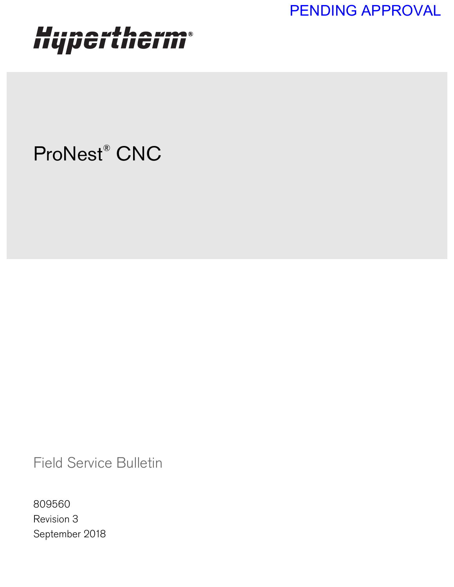PENDING APPROVAL

## Hypertherm®

## ProNest® CNC

Field Service Bulletin

809560 Revision 3 September 2018